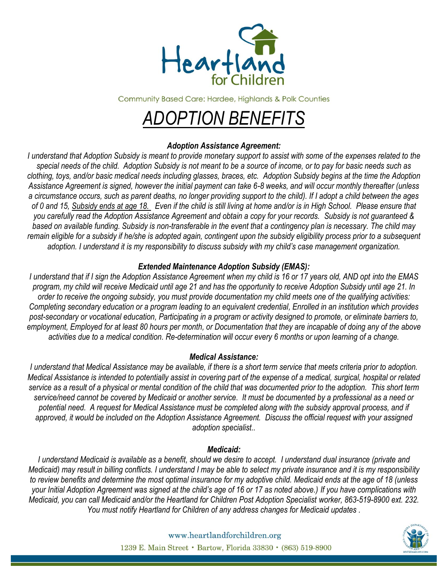

**Community Based Care: Hardee, Highlands & Polk Counties** 

# *ADOPTION BENEFITS*

# *Adoption Assistance Agreement:*

*I understand that Adoption Subsidy is meant to provide monetary support to assist with some of the expenses related to the special needs of the child. Adoption Subsidy is not meant to be a source of income, or to pay for basic needs such as clothing, toys, and/or basic medical needs including glasses, braces, etc. Adoption Subsidy begins at the time the Adoption Assistance Agreement is signed, however the initial payment can take 6-8 weeks, and will occur monthly thereafter (unless a circumstance occurs, such as parent deaths, no longer providing support to the child). If I adopt a child between the ages of 0 and 15, Subsidy ends at age 18. Even if the child is still living at home and/or is in High School. Please ensure that you carefully read the Adoption Assistance Agreement and obtain a copy for your records. Subsidy is not guaranteed & based on available funding. Subsidy is non-transferable in the event that a contingency plan is necessary. The child may remain eligible for a subsidy if he/she is adopted again, contingent upon the subsidy eligibility process prior to a subsequent adoption. I understand it is my responsibility to discuss subsidy with my child's case management organization.*

# *Extended Maintenance Adoption Subsidy (EMAS):*

*I understand that if I sign the Adoption Assistance Agreement when my child is 16 or 17 years old, AND opt into the EMAS program, my child will receive Medicaid until age 21 and has the opportunity to receive Adoption Subsidy until age 21. In order to receive the ongoing subsidy, you must provide documentation my child meets one of the qualifying activities: Completing secondary education or a program leading to an equivalent credential, Enrolled in an institution which provides post-secondary or vocational education, Participating in a program or activity designed to promote, or eliminate barriers to, employment, Employed for at least 80 hours per month, or Documentation that they are incapable of doing any of the above activities due to a medical condition. Re-determination will occur every 6 months or upon learning of a change.* 

## *Medical Assistance:*

*I understand that Medical Assistance may be available, if there is a short term service that meets criteria prior to adoption. Medical Assistance is intended to potentially assist in covering part of the expense of a medical, surgical, hospital or related service as a result of a physical or mental condition of the child that was documented prior to the adoption. This short term service/need cannot be covered by Medicaid or another service. It must be documented by a professional as a need or potential need. A request for Medical Assistance must be completed along with the subsidy approval process, and if approved, it would be included on the Adoption Assistance Agreement. Discuss the official request with your assigned adoption specialist..* 

## *Medicaid:*

*I understand Medicaid is available as a benefit, should we desire to accept. I understand dual insurance (private and Medicaid) may result in billing conflicts. I understand I may be able to select my private insurance and it is my responsibility to review benefits and determine the most optimal insurance for my adoptive child. Medicaid ends at the age of 18 (unless your Initial Adoption Agreement was signed at the child's age of 16 or 17 as noted above.) If you have complications with Medicaid, you can call Medicaid and/or the Heartland for Children Post Adoption Specialist worker, 863-519-8900 ext. 232. You must notify Heartland for Children of any address changes for Medicaid updates .* 



www.heartlandforchildren.org 1239 E. Main Street · Bartow, Florida 33830 · (863) 519-8900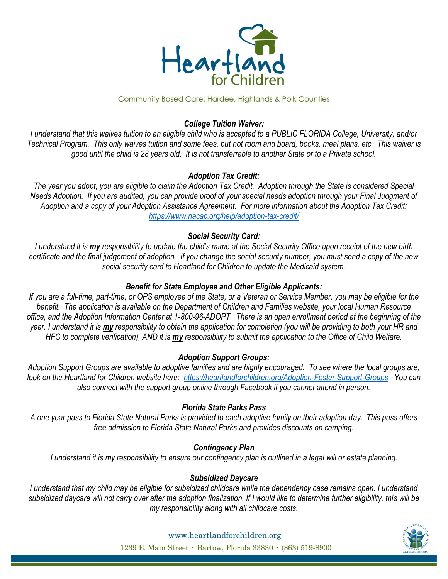

#### Community Based Care: Hardee, Highlands & Polk Counties

# *College Tuition Waiver:*

*I understand that this waives tuition to an eligible child who is accepted to a PUBLIC FLORIDA College, University, and/or Technical Program. This only waives tuition and some fees, but not room and board, books, meal plans, etc. This waiver is good until the child is 28 years old. It is not transferrable to another State or to a Private school.* 

# *Adoption Tax Credit:*

*The year you adopt, you are eligible to claim the Adoption Tax Credit. Adoption through the State is considered Special Needs Adoption. If you are audited, you can provide proof of your special needs adoption through your Final Judgment of Adoption and a copy of your Adoption Assistance Agreement. For more information about the Adoption Tax Credit: <https://www.nacac.org/help/adoption-tax-credit/>*

# *Social Security Card:*

*I understand it is my responsibility to update the child's name at the Social Security Office upon receipt of the new birth certificate and the final judgement of adoption. If you change the social security number, you must send a copy of the new social security card to Heartland for Children to update the Medicaid system.* 

# *Benefit for State Employee and Other Eligible Applicants:*

If you are a full-time, part-time, or OPS employee of the State, or a Veteran or Service Member, you may be eligible for the *benefit. The application is available on the Department of Children and Families website, your local Human Resource office, and the Adoption Information Center at 1-800-96-ADOPT. There is an open enrollment period at the beginning of the year. I understand it is my responsibility to obtain the application for completion (you will be providing to both your HR and HFC to complete verification), AND it is my responsibility to submit the application to the Office of Child Welfare.* 

# *Adoption Support Groups:*

*Adoption Support Groups are available to adoptive families and are highly encouraged. To see where the local groups are, look on the Heartland for Children website here: [https://heartlandforchildren.org/Adoption-Foster-Support-Groups.](https://heartlandforchildren.org/Adoption-Foster-Support-Groups) You can also connect with the support group online through Facebook if you cannot attend in person.* 

## *Florida State Parks Pass*

*A one year pass to Florida State Natural Parks is provided to each adoptive family on their adoption day. This pass offers free admission to Florida State Natural Parks and provides discounts on camping.* 

## *Contingency Plan*

*I understand it is my responsibility to ensure our contingency plan is outlined in a legal will or estate planning.*

## *Subsidized Daycare*

*I understand that my child may be eligible for subsidized childcare while the dependency case remains open. I understand subsidized daycare will not carry over after the adoption finalization. If I would like to determine further eligibility, this will be my responsibility along with all childcare costs.* 



www.heartlandforchildren.org 1239 E. Main Street · Bartow, Florida 33830 · (863) 519-8900